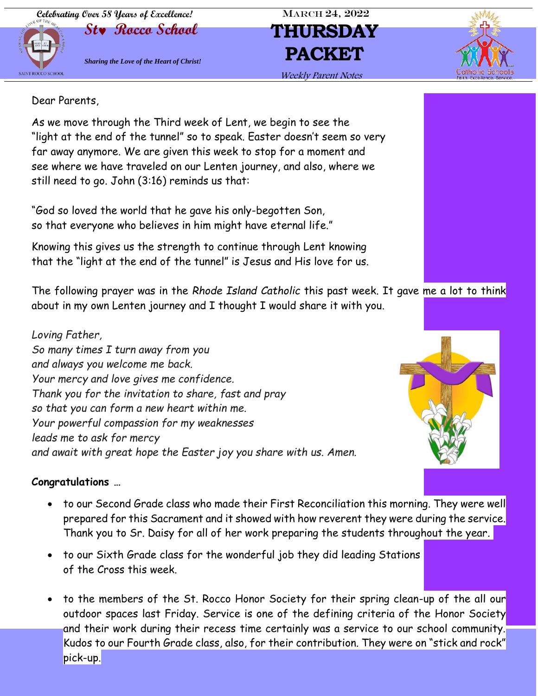**Celebrating Over 58 Years of Excellence!** MARCH 24, 2022



Dear Parents,

As we move through the Third week of Lent, we begin to see the "light at the end of the tunnel" so to speak. Easter doesn't seem so very far away anymore. We are given this week to stop for a moment and see where we have traveled on our Lenten journey, and also, where we still need to go. John (3:16) reminds us that:

"God so loved the world that he gave his only-begotten Son, so that everyone who believes in him might have eternal life."

Knowing this gives us the strength to continue through Lent knowing that the "light at the end of the tunnel" is Jesus and His love for us.

The following prayer was in the *Rhode Island Catholic* this past week. It gave me a lot to think about in my own Lenten journey and I thought I would share it with you.

*Loving Father, So many times I turn away from you and always you welcome me back. Your mercy and love gives me confidence. Thank you for the invitation to share, fast and pray so that you can form a new heart within me. Your powerful compassion for my weaknesses leads me to ask for mercy and await with great hope the Easter joy you share with us. Amen.*

### **Congratulations …**

- to our Second Grade class who made their First Reconciliation this morning. They were well prepared for this Sacrament and it showed with how reverent they were during the service. Thank you to Sr. Daisy for all of her work preparing the students throughout the year.
- to our Sixth Grade class for the wonderful job they did leading Stations of the Cross this week.
- to the members of the St. Rocco Honor Society for their spring clean-up of the all our outdoor spaces last Friday. Service is one of the defining criteria of the Honor Society and their work during their recess time certainly was a service to our school community. Kudos to our Fourth Grade class, also, for their contribution. They were on "stick and rock" pick-up.







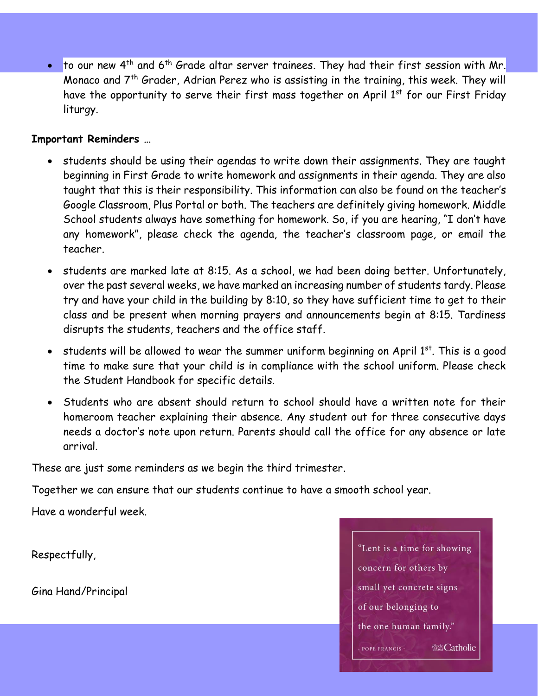• to our new 4<sup>th</sup> and 6<sup>th</sup> Grade altar server trainees. They had their first session with Mr. Monaco and  $7<sup>th</sup>$  Grader, Adrian Perez who is assisting in the training, this week. They will have the opportunity to serve their first mass together on April  $1<sup>st</sup>$  for our First Friday liturgy.

### **Important Reminders …**

- students should be using their agendas to write down their assignments. They are taught beginning in First Grade to write homework and assignments in their agenda. They are also taught that this is their responsibility. This information can also be found on the teacher's Google Classroom, Plus Portal or both. The teachers are definitely giving homework. Middle School students always have something for homework. So, if you are hearing, "I don't have any homework", please check the agenda, the teacher's classroom page, or email the teacher.
- students are marked late at 8:15. As a school, we had been doing better. Unfortunately, over the past several weeks, we have marked an increasing number of students tardy. Please try and have your child in the building by 8:10, so they have sufficient time to get to their class and be present when morning prayers and announcements begin at 8:15. Tardiness disrupts the students, teachers and the office staff.
- students will be allowed to wear the summer uniform beginning on April  $1<sup>st</sup>$ . This is a good time to make sure that your child is in compliance with the school uniform. Please check the Student Handbook for specific details.
- Students who are absent should return to school should have a written note for their homeroom teacher explaining their absence. Any student out for three consecutive days needs a doctor's note upon return. Parents should call the office for any absence or late arrival.

These are just some reminders as we begin the third trimester.

Together we can ensure that our students continue to have a smooth school year.

Have a wonderful week.

Respectfully,

Gina Hand/Principal

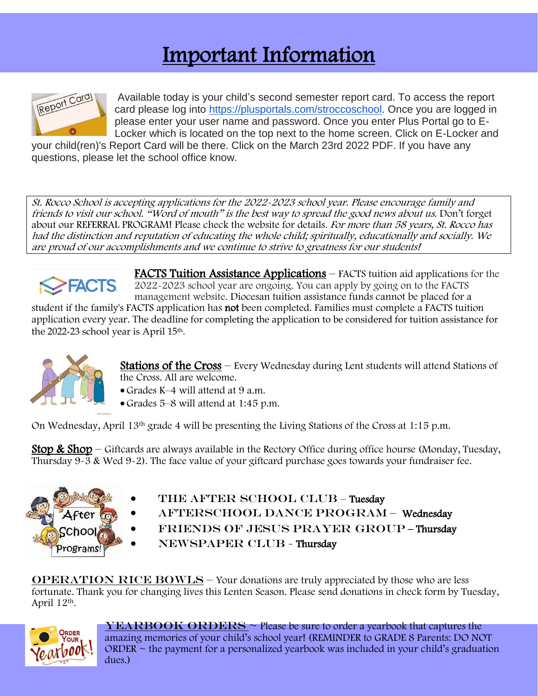## Important Information



Ĩ Available today is your child's second semester report card. To access the report card please log into [https://plusportals.com/stroccoschool.](https://plusportals.com/stroccoschool) Once you are logged in please enter your user name and password. Once you enter Plus Portal go to E-Locker which is located on the top next to the home screen. Click on E-Locker and

your child(ren)'s Report Card will be there. Click on the March 23rd 2022 PDF. If you have any questions, please let the school office know.

St. Rocco School is accepting applications for the 2022-2023 school year. Please encourage family and friends to visit our school. "Word of mouth" is the best way to spread the good news about us. Don't forget about our REFERRAL PROGRAM! Please check the website for details. For more than 58 years, St. Rocco has had the distinction and reputation of educating the whole child; spiritually, educationally and socially. We are proud of our accomplishments and we continue to strive to greatness for our students!



FACTS Tuition Assistance Applications – FACTS tuition aid applications for the 2022-2023 school year are ongoing. You can apply by going on to the FACTS management website. Diocesan tuition assistance funds cannot be placed for a

student if the family's FACTS application has not been completed. Families must complete a FACTS tuition application every year. The deadline for completing the application to be considered for tuition assistance for the 2022-23 school year is April 15th.



Stations of the Cross – Every Wednesday during Lent students will attend Stations of the Cross. All are welcome.

- Grades K–4 will attend at 9 a.m.
- Grades 5–8 will attend at 1:45 p.m.

On Wednesday, April 13th grade 4 will be presenting the Living Stations of the Cross at 1:15 p.m.

**Stop & Shop** – Giftcards are always available in the Rectory Office during office hourse (Monday, Tuesday, Thursday 9-3 & Wed 9-2). The face value of your giftcard purchase goes towards your fundraiser fee.



- THE AFTER SCHOOL CLUB Tuesday
- AFTERSCHOOL DANCE PROGRAM Wednesday
- FRIENDS OF JESUS PRAYER GROUP-Thursday
- NEWSPAPER CLUB Thursday

**OPERATION RICE BOWLS – Your donations are truly appreciated by those who are less** fortunate. Thank you for changing lives this Lenten Season. Please send donations in check form by Tuesday, April 12th.



 $YEARBOOK ORDERS ~ Please be sure to order a yearbook that captures the$ amazing memories of your child's school year! (REMINDER to GRADE 8 Parents: DO NOT  $ORDER \sim$  the payment for a personalized yearbook was included in your child's graduation dues.)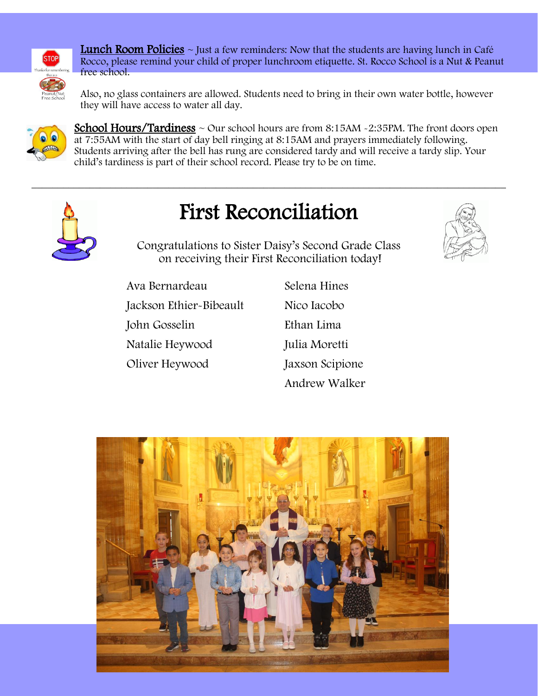

**Lunch Room Policies**  $\sim$  Just a few reminders: Now that the students are having lunch in Café Rocco, please remind your child of proper lunchroom etiquette. St. Rocco School is a Nut & Peanut free school.

Also, no glass containers are allowed. Students need to bring in their own water bottle, however they will have access to water all day.



**School Hours/Tardiness**  $\sim$  Our school hours are from 8:15AM  $\sim$  2:35PM. The front doors open at 7:55AM with the start of day bell ringing at 8:15AM and prayers immediately following. Students arriving after the bell has rung are considered tardy and will receive a tardy slip. Your child's tardiness is part of their school record. Please try to be on time.



# First Reconciliation

 $\_$  , and the contribution of the contribution of  $\mathcal{L}$  , and  $\mathcal{L}$  , and  $\mathcal{L}$  , and  $\mathcal{L}$  , and  $\mathcal{L}$ 

Congratulations to Sister Daisy's Second Grade Class on receiving their First Reconciliation today!

Ava Bernardeau Jackson Ethier-Bibeault John Gosselin Natalie Heywood Oliver Heywood

Selena Hines Nico Iacobo Ethan Lima Julia Moretti Jaxson Scipione Andrew Walker

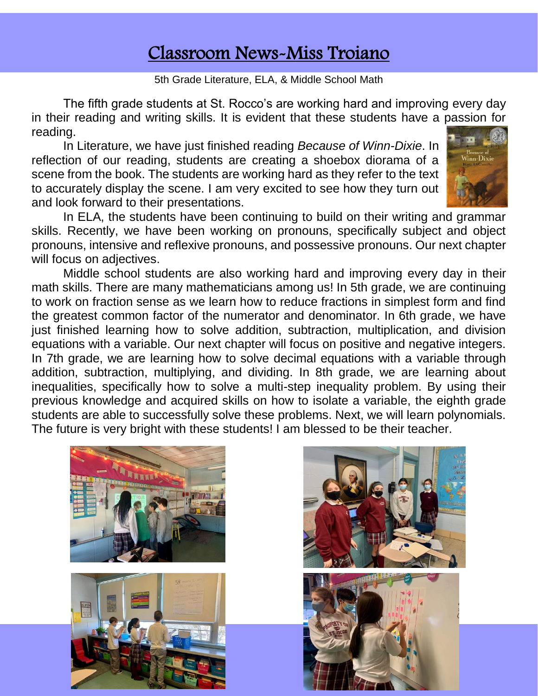### Classroom News-Miss Troiano

5th Grade Literature, ELA, & Middle School Math

The fifth grade students at St. Rocco's are working hard and improving every day in their reading and writing skills. It is evident that these students have a passion for reading.

In Literature, we have just finished reading *Because of Winn-Dixie*. In reflection of our reading, students are creating a shoebox diorama of a scene from the book. The students are working hard as they refer to the text to accurately display the scene. I am very excited to see how they turn out and look forward to their presentations.



In ELA, the students have been continuing to build on their writing and grammar skills. Recently, we have been working on pronouns, specifically subject and object pronouns, intensive and reflexive pronouns, and possessive pronouns. Our next chapter will focus on adjectives.

Middle school students are also working hard and improving every day in their math skills. There are many mathematicians among us! In 5th grade, we are continuing to work on fraction sense as we learn how to reduce fractions in simplest form and find the greatest common factor of the numerator and denominator. In 6th grade, we have just finished learning how to solve addition, subtraction, multiplication, and division equations with a variable. Our next chapter will focus on positive and negative integers. In 7th grade, we are learning how to solve decimal equations with a variable through addition, subtraction, multiplying, and dividing. In 8th grade, we are learning about inequalities, specifically how to solve a multi-step inequality problem. By using their previous knowledge and acquired skills on how to isolate a variable, the eighth grade students are able to successfully solve these problems. Next, we will learn polynomials. The future is very bright with these students! I am blessed to be their teacher.